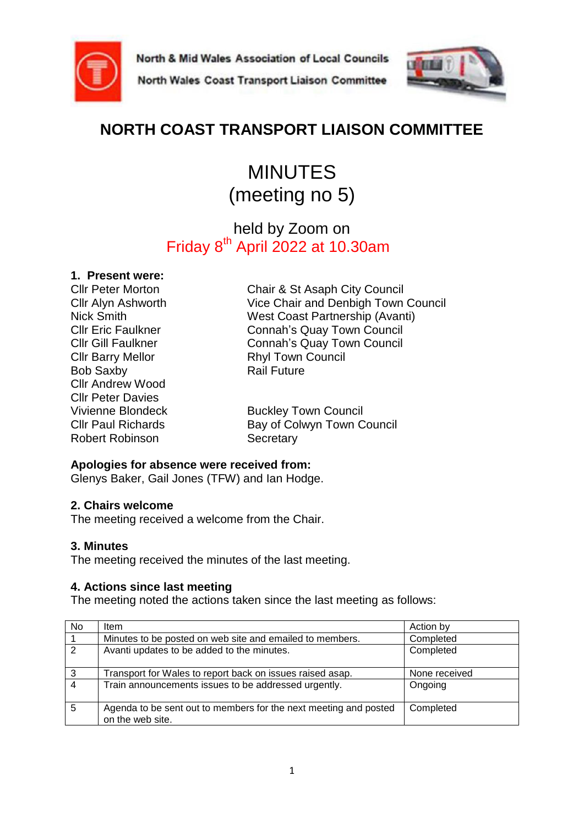

North & Mid Wales Association of Local Councils





# **NORTH COAST TRANSPORT LIAISON COMMITTEE**

# MINUTES (meeting no 5)

## held by Zoom on Friday 8<sup>th</sup> April 2022 at 10.30am

## **1. Present were:**

Cllr Barry Mellor **Rhyl Town Council** Bob Saxby **Rail Future** Cllr Andrew Wood Cllr Peter Davies Robert Robinson Secretary

Cllr Peter Morton Chair & St Asaph City Council Cllr Alyn Ashworth Vice Chair and Denbigh Town Council Nick Smith West Coast Partnership (Avanti) Cllr Eric Faulkner Connah's Quay Town Council Cllr Gill Faulkner Connah's Quay Town Council

Vivienne Blondeck Buckley Town Council Cllr Paul Richards Bay of Colwyn Town Council

## **Apologies for absence were received from:**

Glenys Baker, Gail Jones (TFW) and Ian Hodge.

## **2. Chairs welcome**

The meeting received a welcome from the Chair.

## **3. Minutes**

The meeting received the minutes of the last meeting.

## **4. Actions since last meeting**

The meeting noted the actions taken since the last meeting as follows:

| No             | ltem                                                                                 | Action by     |
|----------------|--------------------------------------------------------------------------------------|---------------|
|                | Minutes to be posted on web site and emailed to members.                             | Completed     |
| $\overline{2}$ | Avanti updates to be added to the minutes.                                           | Completed     |
| $\mathbf{3}$   | Transport for Wales to report back on issues raised asap.                            | None received |
| $\overline{4}$ | Train announcements issues to be addressed urgently.                                 | Ongoing       |
| 5              | Agenda to be sent out to members for the next meeting and posted<br>on the web site. | Completed     |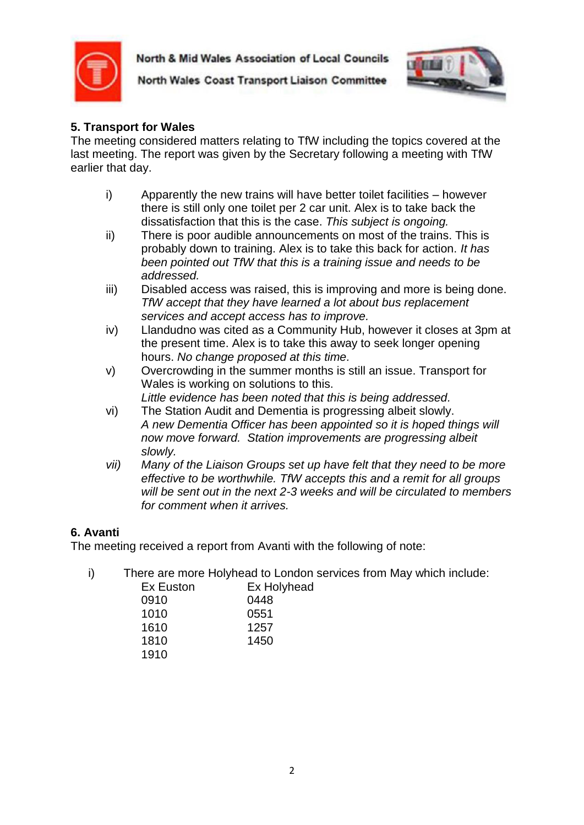

North & Mid Wales Association of Local Councils



North Wales Coast Transport Liaison Committee

## **5. Transport for Wales**

The meeting considered matters relating to TfW including the topics covered at the last meeting. The report was given by the Secretary following a meeting with TfW earlier that day.

- i) Apparently the new trains will have better toilet facilities however there is still only one toilet per 2 car unit. Alex is to take back the dissatisfaction that this is the case. *This subject is ongoing.*
- ii) There is poor audible announcements on most of the trains. This is probably down to training. Alex is to take this back for action. *It has been pointed out TfW that this is a training issue and needs to be addressed.*
- iii) Disabled access was raised, this is improving and more is being done. *TfW accept that they have learned a lot about bus replacement services and accept access has to improve.*
- iv) Llandudno was cited as a Community Hub, however it closes at 3pm at the present time. Alex is to take this away to seek longer opening hours. *No change proposed at this time.*
- v) Overcrowding in the summer months is still an issue. Transport for Wales is working on solutions to this.
	- *Little evidence has been noted that this is being addressed.*
- vi) The Station Audit and Dementia is progressing albeit slowly. *A new Dementia Officer has been appointed so it is hoped things will now move forward. Station improvements are progressing albeit slowly.*
- *vii) Many of the Liaison Groups set up have felt that they need to be more effective to be worthwhile. TfW accepts this and a remit for all groups will be sent out in the next 2-3 weeks and will be circulated to members for comment when it arrives.*

## **6. Avanti**

The meeting received a report from Avanti with the following of note:

i) There are more Holyhead to London services from May which include:

| Ex Euston | Ex Holyhead |
|-----------|-------------|
| 0910      | 0448        |
| 1010      | 0551        |
| 1610      | 1257        |
| 1810      | 1450        |
| 1910      |             |